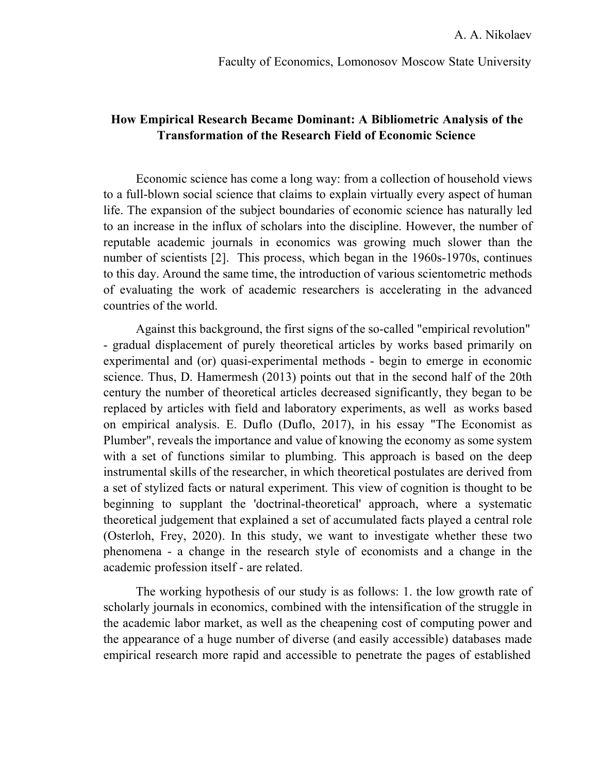Faculty of Economics, Lomonosov Moscow State University

## How Empirical Research Became Dominant: A Bibliometric Analysis of the Transformation of the Research Field of Economic Science

Economic science has come a long way: from a collection of household views to a full-blown social science that claims to explain virtually every aspect of human life. The expansion of the subject boundaries of economic science has naturally led to an increase in the influx of scholars into the discipline. However, the number of reputable academic journals in economics was growing much slower than the number of scientists [2]. This process, which began in the 1960s-1970s, continues to this day. Around the same time, the introduction of various scientometric methods of evaluating the work of academic researchers is accelerating in the advanced countries of the world.

Against this background, the first signs of the so-called "empirical revolution" - gradual displacement of purely theoretical articles by works based primarily on experimental and (or) quasi-experimental methods - begin to emerge in economic science. Thus, D. Hamermesh (2013) points out that in the second half of the 20th century the number of theoretical articles decreased significantly, they began to be replaced by articles with field and laboratory experiments, as well as works based on empirical analysis. E. Duflo (Duflo, 2017), in his essay "The Economist as Plumber", reveals the importance and value of knowing the economy as some system with a set of functions similar to plumbing. This approach is based on the deep instrumental skills of the researcher, in which theoretical postulates are derived from a set of stylized facts or natural experiment. This view of cognition is thought to be beginning to supplant the 'doctrinal-theoretical' approach, where a systematic theoretical judgement that explained a set of accumulated facts played a central role (Osterloh, Frey, 2020). In this study, we want to investigate whether these two phenomena - a change in the research style of economists and a change in the academic profession itself - are related.

The working hypothesis of our study is as follows: 1. the low growth rate of scholarly journals in economics, combined with the intensification of the struggle in the academic labor market, as well as the cheapening cost of computing power and the appearance of a huge number of diverse (and easily accessible) databases made empirical research more rapid and accessible to penetrate the pages of established